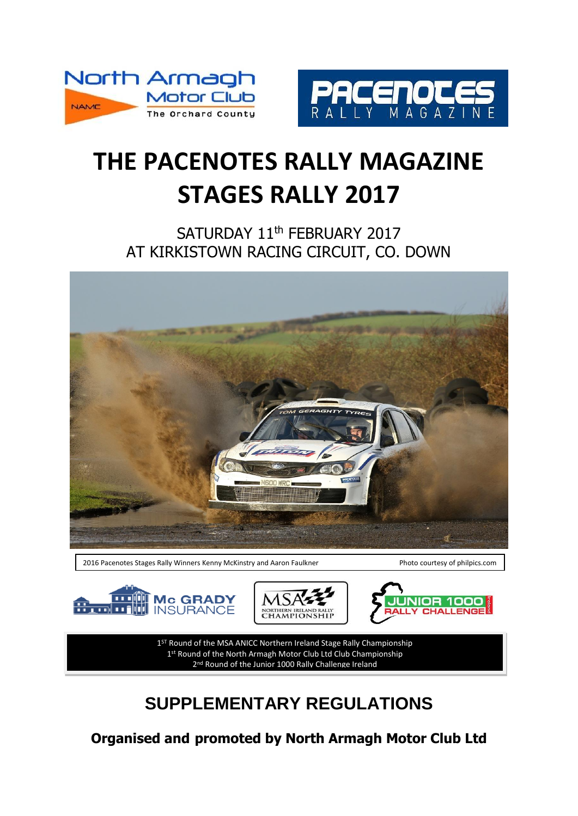



# **THE PACENOTES RALLY MAGAZINE STAGES RALLY 2017**

SATURDAY 11<sup>th</sup> FEBRUARY 2017 AT KIRKISTOWN RACING CIRCUIT, CO. DOWN



2016 Pacenotes Stages Rally Winners Kenny McKinstry and Aaron Faulkner Photo courtesy of philpics.com







1<sup>ST</sup> Round of the MSA ANICC Northern Ireland Stage Rally Championship 1<sup>st</sup> Round of the North Armagh Motor Club Ltd Club Championship 2<sup>nd</sup> Round of the Junior 1000 Rally Challenge Ireland

# **SUPPLEMENTARY REGULATIONS**

**Organised and promoted by North Armagh Motor Club Ltd**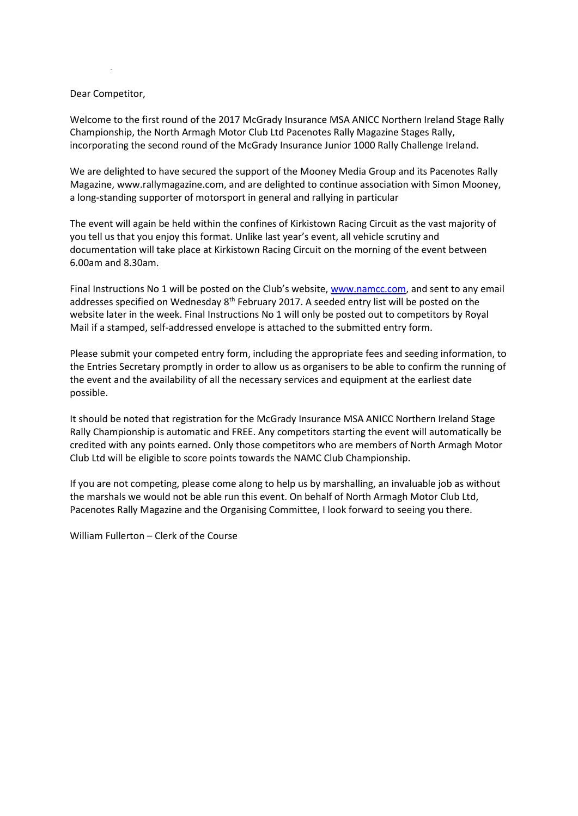# Dear Competitor,

Simo n

Welcome to the first round of the 2017 McGrady Insurance MSA ANICC Northern Ireland Stage Rally Championship, the North Armagh Motor Club Ltd Pacenotes Rally Magazine Stages Rally, incorporating the second round of the McGrady Insurance Junior 1000 Rally Challenge Ireland.

We are delighted to have secured the support of the Mooney Media Group and its Pacenotes Rally Magazine, www.rallymagazine.com, and are delighted to continue association with Simon Mooney, a long-standing supporter of motorsport in general and rallying in particular

The event will again be held within the confines of Kirkistown Racing Circuit as the vast majority of you tell us that you enjoy this format. Unlike last year's event, all vehicle scrutiny and documentation will take place at Kirkistown Racing Circuit on the morning of the event between 6.00am and 8.30am.

Final Instructions No 1 will be posted on the Club's website, [www.namcc.com,](http://www.namcc.com/) and sent to any email addresses specified on Wednesday 8<sup>th</sup> February 2017. A seeded entry list will be posted on the website later in the week. Final Instructions No 1 will only be posted out to competitors by Royal Mail if a stamped, self-addressed envelope is attached to the submitted entry form.

Please submit your competed entry form, including the appropriate fees and seeding information, to the Entries Secretary promptly in order to allow us as organisers to be able to confirm the running of the event and the availability of all the necessary services and equipment at the earliest date possible.

It should be noted that registration for the McGrady Insurance MSA ANICC Northern Ireland Stage Rally Championship is automatic and FREE. Any competitors starting the event will automatically be credited with any points earned. Only those competitors who are members of North Armagh Motor Club Ltd will be eligible to score points towards the NAMC Club Championship.

If you are not competing, please come along to help us by marshalling, an invaluable job as without the marshals we would not be able run this event. On behalf of North Armagh Motor Club Ltd, Pacenotes Rally Magazine and the Organising Committee, I look forward to seeing you there.

William Fullerton – Clerk of the Course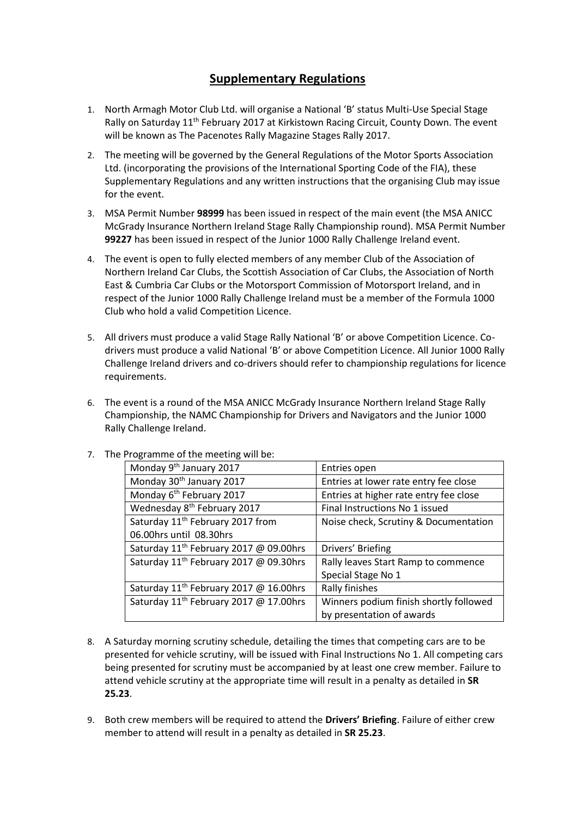# **Supplementary Regulations**

- 1. North Armagh Motor Club Ltd. will organise a National 'B' status Multi-Use Special Stage Rally on Saturday 11<sup>th</sup> February 2017 at Kirkistown Racing Circuit, County Down. The event will be known as The Pacenotes Rally Magazine Stages Rally 2017.
- 2. The meeting will be governed by the General Regulations of the Motor Sports Association Ltd. (incorporating the provisions of the International Sporting Code of the FIA), these Supplementary Regulations and any written instructions that the organising Club may issue for the event.
- 3. MSA Permit Number **98999** has been issued in respect of the main event (the MSA ANICC McGrady Insurance Northern Ireland Stage Rally Championship round). MSA Permit Number **99227** has been issued in respect of the Junior 1000 Rally Challenge Ireland event.
- 4. The event is open to fully elected members of any member Club of the Association of Northern Ireland Car Clubs, the Scottish Association of Car Clubs, the Association of North East & Cumbria Car Clubs or the Motorsport Commission of Motorsport Ireland, and in respect of the Junior 1000 Rally Challenge Ireland must be a member of the Formula 1000 Club who hold a valid Competition Licence.
- 5. All drivers must produce a valid Stage Rally National 'B' or above Competition Licence. Codrivers must produce a valid National 'B' or above Competition Licence. All Junior 1000 Rally Challenge Ireland drivers and co-drivers should refer to championship regulations for licence requirements.
- 6. The event is a round of the MSA ANICC McGrady Insurance Northern Ireland Stage Rally Championship, the NAMC Championship for Drivers and Navigators and the Junior 1000 Rally Challenge Ireland.

| Monday 9 <sup>th</sup> January 2017                | Entries open                           |  |
|----------------------------------------------------|----------------------------------------|--|
| Monday 30 <sup>th</sup> January 2017               | Entries at lower rate entry fee close  |  |
| Monday 6 <sup>th</sup> February 2017               | Entries at higher rate entry fee close |  |
| Wednesday 8 <sup>th</sup> February 2017            | Final Instructions No 1 issued         |  |
| Saturday 11 <sup>th</sup> February 2017 from       | Noise check, Scrutiny & Documentation  |  |
| 06.00hrs until 08.30hrs                            |                                        |  |
| Saturday 11 <sup>th</sup> February 2017 @ 09.00hrs | Drivers' Briefing                      |  |
| Saturday 11 <sup>th</sup> February 2017 @ 09.30hrs | Rally leaves Start Ramp to commence    |  |
|                                                    | Special Stage No 1                     |  |
| Saturday 11 <sup>th</sup> February 2017 @ 16.00hrs | Rally finishes                         |  |
| Saturday 11 <sup>th</sup> February 2017 @ 17.00hrs | Winners podium finish shortly followed |  |
|                                                    | by presentation of awards              |  |

7. The Programme of the meeting will be:

- 8. A Saturday morning scrutiny schedule, detailing the times that competing cars are to be presented for vehicle scrutiny, will be issued with Final Instructions No 1. All competing cars being presented for scrutiny must be accompanied by at least one crew member. Failure to attend vehicle scrutiny at the appropriate time will result in a penalty as detailed in **SR 25.23**.
- 9. Both crew members will be required to attend the **Drivers' Briefing**. Failure of either crew member to attend will result in a penalty as detailed in **SR 25.23**.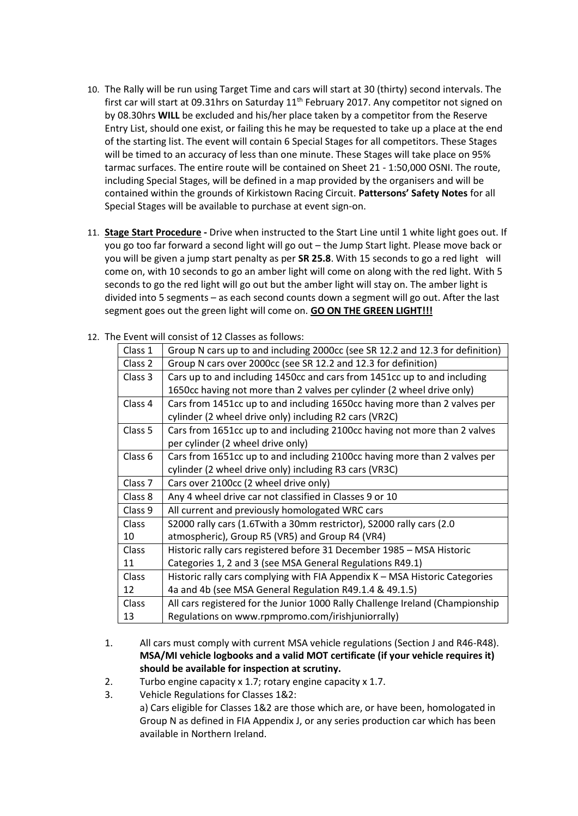- 10. The Rally will be run using Target Time and cars will start at 30 (thirty) second intervals. The first car will start at 09.31hrs on Saturday 11<sup>th</sup> February 2017. Any competitor not signed on by 08.30hrs **WILL** be excluded and his/her place taken by a competitor from the Reserve Entry List, should one exist, or failing this he may be requested to take up a place at the end of the starting list. The event will contain 6 Special Stages for all competitors. These Stages will be timed to an accuracy of less than one minute. These Stages will take place on 95% tarmac surfaces. The entire route will be contained on Sheet 21 - 1:50,000 OSNI. The route, including Special Stages, will be defined in a map provided by the organisers and will be contained within the grounds of Kirkistown Racing Circuit. **Pattersons' Safety Notes** for all Special Stages will be available to purchase at event sign-on.
- 11. **Stage Start Procedure -** Drive when instructed to the Start Line until 1 white light goes out. If you go too far forward a second light will go out – the Jump Start light. Please move back or you will be given a jump start penalty as per **SR 25.8**. With 15 seconds to go a red light will come on, with 10 seconds to go an amber light will come on along with the red light. With 5 seconds to go the red light will go out but the amber light will stay on. The amber light is divided into 5 segments – as each second counts down a segment will go out. After the last segment goes out the green light will come on. **GO ON THE GREEN LIGHT!!!**

| Class 1            | Group N cars up to and including 2000cc (see SR 12.2 and 12.3 for definition) |  |
|--------------------|-------------------------------------------------------------------------------|--|
| Class 2            | Group N cars over 2000cc (see SR 12.2 and 12.3 for definition)                |  |
| Class 3            | Cars up to and including 1450cc and cars from 1451cc up to and including      |  |
|                    | 1650cc having not more than 2 valves per cylinder (2 wheel drive only)        |  |
| Class 4            | Cars from 1451cc up to and including 1650cc having more than 2 valves per     |  |
|                    | cylinder (2 wheel drive only) including R2 cars (VR2C)                        |  |
| Class 5            | Cars from 1651cc up to and including 2100cc having not more than 2 valves     |  |
|                    | per cylinder (2 wheel drive only)                                             |  |
| Class 6            | Cars from 1651cc up to and including 2100cc having more than 2 valves per     |  |
|                    | cylinder (2 wheel drive only) including R3 cars (VR3C)                        |  |
| Class <sub>7</sub> | Cars over 2100cc (2 wheel drive only)                                         |  |
| Class 8            | Any 4 wheel drive car not classified in Classes 9 or 10                       |  |
| Class 9            | All current and previously homologated WRC cars                               |  |
| <b>Class</b>       | S2000 rally cars (1.6Twith a 30mm restrictor), S2000 rally cars (2.0          |  |
| 10                 | atmospheric), Group R5 (VR5) and Group R4 (VR4)                               |  |
| <b>Class</b>       | Historic rally cars registered before 31 December 1985 - MSA Historic         |  |
| 11                 | Categories 1, 2 and 3 (see MSA General Regulations R49.1)                     |  |
| <b>Class</b>       | Historic rally cars complying with FIA Appendix K - MSA Historic Categories   |  |
| 12                 | 4a and 4b (see MSA General Regulation R49.1.4 & 49.1.5)                       |  |
| Class              | All cars registered for the Junior 1000 Rally Challenge Ireland (Championship |  |
| 13                 | Regulations on www.rpmpromo.com/irishjuniorrally)                             |  |

12. The Event will consist of 12 Classes as follows:

- 1. All cars must comply with current MSA vehicle regulations (Section J and R46-R48). **MSA/MI vehicle logbooks and a valid MOT certificate (if your vehicle requires it) should be available for inspection at scrutiny.**
- 2. Turbo engine capacity x 1.7; rotary engine capacity x 1.7.
- 3. Vehicle Regulations for Classes 1&2:
	- a) Cars eligible for Classes 1&2 are those which are, or have been, homologated in Group N as defined in FIA Appendix J, or any series production car which has been available in Northern Ireland.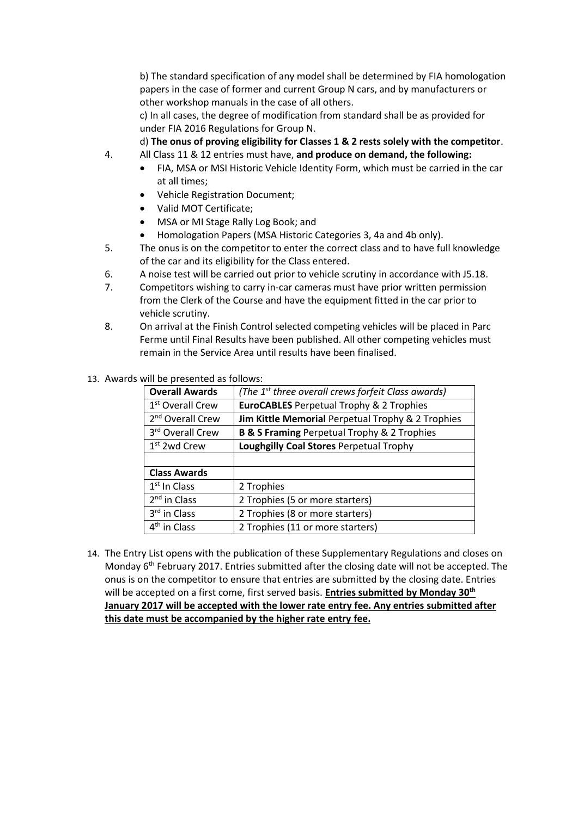b) The standard specification of any model shall be determined by FIA homologation papers in the case of former and current Group N cars, and by manufacturers or other workshop manuals in the case of all others.

c) In all cases, the degree of modification from standard shall be as provided for under FIA 2016 Regulations for Group N.

d) **The onus of proving eligibility for Classes 1 & 2 rests solely with the competitor**.

- 4. All Class 11 & 12 entries must have, **and produce on demand, the following:**
	- FIA, MSA or MSI Historic Vehicle Identity Form, which must be carried in the car at all times;
	- Vehicle Registration Document;
	- Valid MOT Certificate;
	- MSA or MI Stage Rally Log Book; and
	- Homologation Papers (MSA Historic Categories 3, 4a and 4b only).
- 5. The onus is on the competitor to enter the correct class and to have full knowledge of the car and its eligibility for the Class entered.
- 6. A noise test will be carried out prior to vehicle scrutiny in accordance with J5.18.
- 7. Competitors wishing to carry in-car cameras must have prior written permission from the Clerk of the Course and have the equipment fitted in the car prior to vehicle scrutiny.
- 8. On arrival at the Finish Control selected competing vehicles will be placed in Parc Ferme until Final Results have been published. All other competing vehicles must remain in the Service Area until results have been finalised.

|                              | ds will be presented as follows: |                                                                |
|------------------------------|----------------------------------|----------------------------------------------------------------|
|                              | <b>Overall Awards</b>            | (The 1 <sup>st</sup> three overall crews forfeit Class awards) |
|                              | 1 <sup>st</sup> Overall Crew     | <b>EuroCABLES</b> Perpetual Trophy & 2 Trophies                |
| 2 <sup>nd</sup> Overall Crew |                                  | Jim Kittle Memorial Perpetual Trophy & 2 Trophies              |
|                              | 3 <sup>rd</sup> Overall Crew     | <b>B &amp; S Framing Perpetual Trophy &amp; 2 Trophies</b>     |
|                              | $1st$ 2wd Crew                   | Loughgilly Coal Stores Perpetual Trophy                        |
| <b>Class Awards</b>          |                                  |                                                                |
|                              |                                  |                                                                |
|                              | $1st$ In Class                   | 2 Trophies                                                     |
|                              | $2nd$ in Class                   | 2 Trophies (5 or more starters)                                |
|                              | 3 <sup>rd</sup> in Class         | 2 Trophies (8 or more starters)                                |

13. Awar

4<sup>th</sup> in Class

14. The Entry List opens with the publication of these Supplementary Regulations and closes on Monday 6<sup>th</sup> February 2017. Entries submitted after the closing date will not be accepted. The onus is on the competitor to ensure that entries are submitted by the closing date. Entries will be accepted on a first come, first served basis. **Entries submitted by Monday 30th January 2017 will be accepted with the lower rate entry fee. Any entries submitted after this date must be accompanied by the higher rate entry fee.**

2 Trophies (11 or more starters)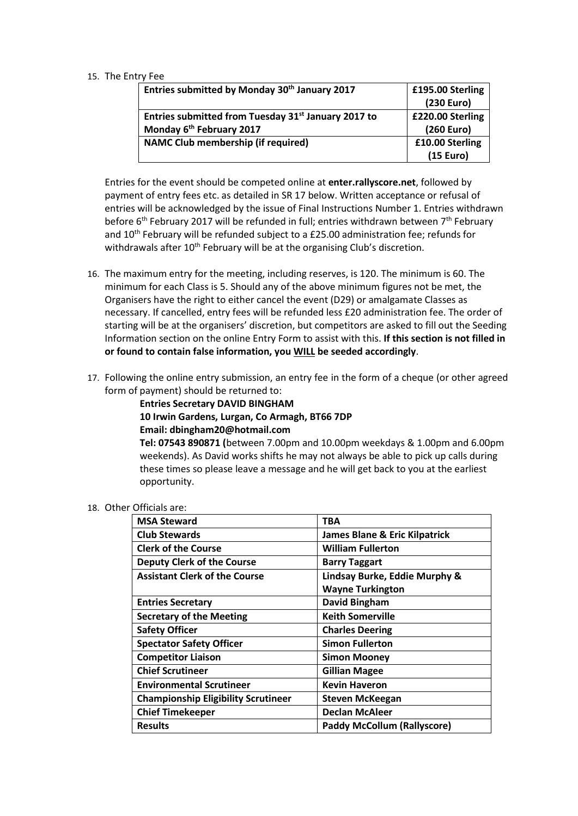#### 15. The Entry Fee

| Entries submitted by Monday 30 <sup>th</sup> January 2017       | £195.00 Sterling |
|-----------------------------------------------------------------|------------------|
|                                                                 | (230 Euro)       |
| Entries submitted from Tuesday 31 <sup>st</sup> January 2017 to | £220.00 Sterling |
| Monday 6 <sup>th</sup> February 2017                            | (260 Euro)       |
| <b>NAMC Club membership (if required)</b>                       | £10.00 Sterling  |
|                                                                 | (15 Euro)        |

Entries for the event should be competed online at **enter.rallyscore.net**, followed by payment of entry fees etc. as detailed in SR 17 below. Written acceptance or refusal of entries will be acknowledged by the issue of Final Instructions Number 1. Entries withdrawn before 6<sup>th</sup> February 2017 will be refunded in full; entries withdrawn between 7<sup>th</sup> February and  $10<sup>th</sup>$  February will be refunded subject to a £25.00 administration fee; refunds for withdrawals after 10<sup>th</sup> February will be at the organising Club's discretion.

- 16. The maximum entry for the meeting, including reserves, is 120. The minimum is 60. The minimum for each Class is 5. Should any of the above minimum figures not be met, the Organisers have the right to either cancel the event (D29) or amalgamate Classes as necessary. If cancelled, entry fees will be refunded less £20 administration fee. The order of starting will be at the organisers' discretion, but competitors are asked to fill out the Seeding Information section on the online Entry Form to assist with this. **If this section is not filled in or found to contain false information, you WILL be seeded accordingly**.
- 17. Following the online entry submission, an entry fee in the form of a cheque (or other agreed form of payment) should be returned to:

**Entries Secretary DAVID BINGHAM 10 Irwin Gardens, Lurgan, Co Armagh, BT66 7DP Email: dbingham20@hotmail.com Tel: 07543 890871 (**between 7.00pm and 10.00pm weekdays & 1.00pm and 6.00pm

weekends). As David works shifts he may not always be able to pick up calls during these times so please leave a message and he will get back to you at the earliest opportunity.

# 18. Other Officials are:

| <b>MSA Steward</b>                         | <b>TBA</b>                               |
|--------------------------------------------|------------------------------------------|
| <b>Club Stewards</b>                       | <b>James Blane &amp; Eric Kilpatrick</b> |
| <b>Clerk of the Course</b>                 | <b>William Fullerton</b>                 |
| <b>Deputy Clerk of the Course</b>          | <b>Barry Taggart</b>                     |
| <b>Assistant Clerk of the Course</b>       | Lindsay Burke, Eddie Murphy &            |
|                                            | <b>Wayne Turkington</b>                  |
| <b>Entries Secretary</b>                   | <b>David Bingham</b>                     |
| <b>Secretary of the Meeting</b>            | <b>Keith Somerville</b>                  |
| <b>Safety Officer</b>                      | <b>Charles Deering</b>                   |
| <b>Spectator Safety Officer</b>            | <b>Simon Fullerton</b>                   |
| <b>Competitor Liaison</b>                  | <b>Simon Mooney</b>                      |
| <b>Chief Scrutineer</b>                    | <b>Gillian Magee</b>                     |
| <b>Environmental Scrutineer</b>            | <b>Kevin Haveron</b>                     |
| <b>Championship Eligibility Scrutineer</b> | <b>Steven McKeegan</b>                   |
| <b>Chief Timekeeper</b>                    | <b>Declan McAleer</b>                    |
| <b>Results</b>                             | <b>Paddy McCollum (Rallyscore)</b>       |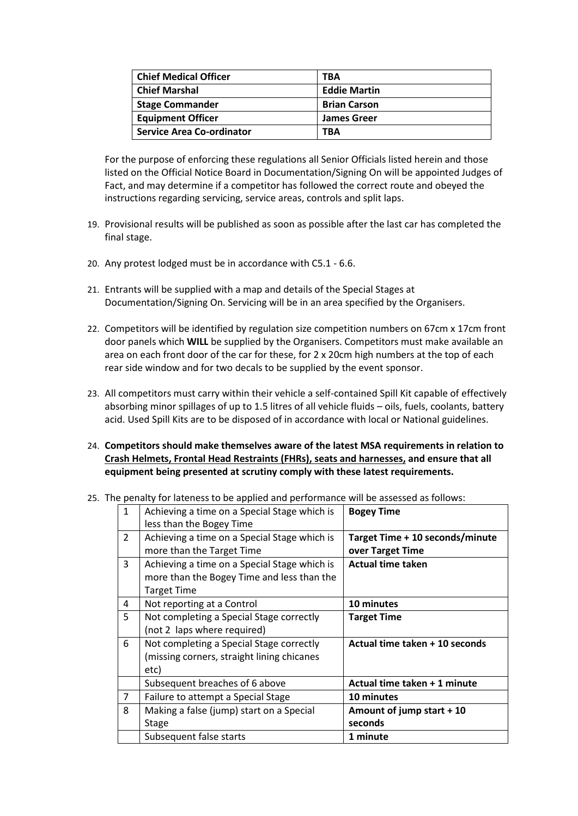| <b>Chief Medical Officer</b>     | TBA                 |
|----------------------------------|---------------------|
| <b>Chief Marshal</b>             | <b>Eddie Martin</b> |
| <b>Stage Commander</b>           | <b>Brian Carson</b> |
| <b>Equipment Officer</b>         | <b>James Greer</b>  |
| <b>Service Area Co-ordinator</b> | TBA                 |

 For the purpose of enforcing these regulations all Senior Officials listed herein and those listed on the Official Notice Board in Documentation/Signing On will be appointed Judges of Fact, and may determine if a competitor has followed the correct route and obeyed the instructions regarding servicing, service areas, controls and split laps.

- 19. Provisional results will be published as soon as possible after the last car has completed the final stage.
- 20. Any protest lodged must be in accordance with C5.1 6.6.
- 21. Entrants will be supplied with a map and details of the Special Stages at Documentation/Signing On. Servicing will be in an area specified by the Organisers.
- 22. Competitors will be identified by regulation size competition numbers on 67cm x 17cm front door panels which **WILL** be supplied by the Organisers. Competitors must make available an area on each front door of the car for these, for 2 x 20cm high numbers at the top of each rear side window and for two decals to be supplied by the event sponsor.
- 23. All competitors must carry within their vehicle a self-contained Spill Kit capable of effectively absorbing minor spillages of up to 1.5 litres of all vehicle fluids – oils, fuels, coolants, battery acid. Used Spill Kits are to be disposed of in accordance with local or National guidelines.
- 24. **Competitors should make themselves aware of the latest MSA requirements in relation to Crash Helmets, Frontal Head Restraints (FHRs), seats and harnesses, and ensure that all equipment being presented at scrutiny comply with these latest requirements.**

|  |  |  |  | 25. The penalty for lateness to be applied and performance will be assessed as follows: |  |  |  |
|--|--|--|--|-----------------------------------------------------------------------------------------|--|--|--|
|--|--|--|--|-----------------------------------------------------------------------------------------|--|--|--|

| $\mathbf{1}$   | Achieving a time on a Special Stage which is<br>less than the Bogey Time                                         | <b>Bogey Time</b>                                   |
|----------------|------------------------------------------------------------------------------------------------------------------|-----------------------------------------------------|
| $\overline{2}$ | Achieving a time on a Special Stage which is<br>more than the Target Time                                        | Target Time + 10 seconds/minute<br>over Target Time |
| 3              | Achieving a time on a Special Stage which is<br>more than the Bogey Time and less than the<br><b>Target Time</b> | <b>Actual time taken</b>                            |
| 4              | Not reporting at a Control                                                                                       | 10 minutes                                          |
| 5              | Not completing a Special Stage correctly<br>(not 2 laps where required)                                          | <b>Target Time</b>                                  |
| 6              | Not completing a Special Stage correctly<br>(missing corners, straight lining chicanes<br>etc)                   | Actual time taken + 10 seconds                      |
|                | Subsequent breaches of 6 above                                                                                   | Actual time taken + 1 minute                        |
| $\overline{7}$ | Failure to attempt a Special Stage                                                                               | 10 minutes                                          |
| 8              | Making a false (jump) start on a Special<br><b>Stage</b>                                                         | Amount of jump start + 10<br>seconds                |
|                | Subsequent false starts                                                                                          | 1 minute                                            |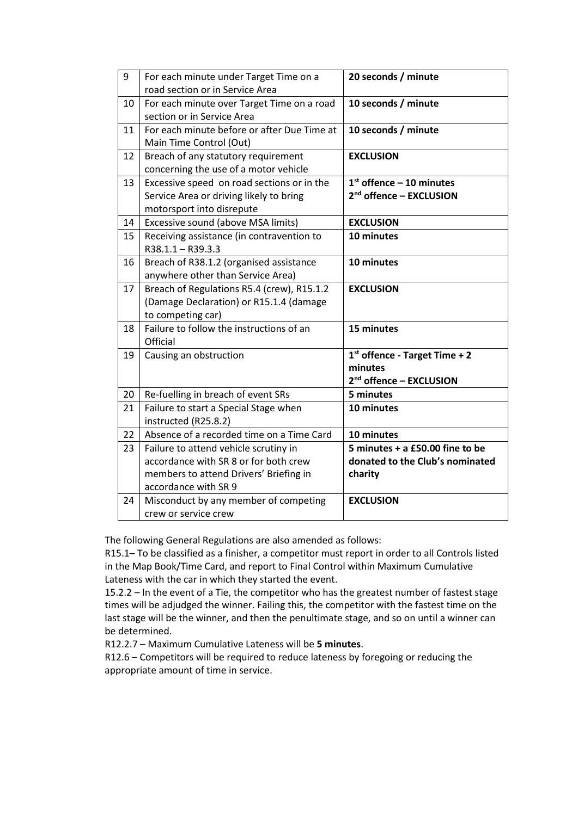| 9  | For each minute under Target Time on a      | 20 seconds / minute                 |
|----|---------------------------------------------|-------------------------------------|
|    | road section or in Service Area             |                                     |
| 10 | For each minute over Target Time on a road  | 10 seconds / minute                 |
|    | section or in Service Area                  |                                     |
| 11 | For each minute before or after Due Time at | 10 seconds / minute                 |
|    | Main Time Control (Out)                     |                                     |
| 12 | Breach of any statutory requirement         | <b>EXCLUSION</b>                    |
|    | concerning the use of a motor vehicle       |                                     |
| 13 | Excessive speed on road sections or in the  | $1st$ offence - 10 minutes          |
|    | Service Area or driving likely to bring     | 2 <sup>nd</sup> offence - EXCLUSION |
|    | motorsport into disrepute                   |                                     |
| 14 | Excessive sound (above MSA limits)          | <b>EXCLUSION</b>                    |
| 15 | Receiving assistance (in contravention to   | 10 minutes                          |
|    | R38.1.1 - R39.3.3                           |                                     |
| 16 | Breach of R38.1.2 (organised assistance     | 10 minutes                          |
|    | anywhere other than Service Area)           |                                     |
| 17 | Breach of Regulations R5.4 (crew), R15.1.2  | <b>EXCLUSION</b>                    |
|    | (Damage Declaration) or R15.1.4 (damage     |                                     |
|    | to competing car)                           |                                     |
| 18 | Failure to follow the instructions of an    | 15 minutes                          |
|    | Official                                    |                                     |
| 19 | Causing an obstruction                      | $1st$ offence - Target Time + 2     |
|    |                                             | minutes                             |
|    |                                             | 2 <sup>nd</sup> offence - EXCLUSION |
| 20 | Re-fuelling in breach of event SRs          | 5 minutes                           |
| 21 | Failure to start a Special Stage when       | 10 minutes                          |
|    | instructed (R25.8.2)                        |                                     |
| 22 | Absence of a recorded time on a Time Card   | 10 minutes                          |
| 23 | Failure to attend vehicle scrutiny in       | 5 minutes + a £50.00 fine to be     |
|    | accordance with SR 8 or for both crew       | donated to the Club's nominated     |
|    | members to attend Drivers' Briefing in      | charity                             |
|    | accordance with SR 9                        |                                     |
| 24 | Misconduct by any member of competing       | <b>EXCLUSION</b>                    |
|    | crew or service crew                        |                                     |

The following General Regulations are also amended as follows:

R15.1– To be classified as a finisher, a competitor must report in order to all Controls listed in the Map Book/Time Card, and report to Final Control within Maximum Cumulative Lateness with the car in which they started the event.

15.2.2 – In the event of a Tie, the competitor who has the greatest number of fastest stage times will be adjudged the winner. Failing this, the competitor with the fastest time on the last stage will be the winner, and then the penultimate stage, and so on until a winner can be determined.

R12.2.7 – Maximum Cumulative Lateness will be **5 minutes**.

R12.6 – Competitors will be required to reduce lateness by foregoing or reducing the appropriate amount of time in service.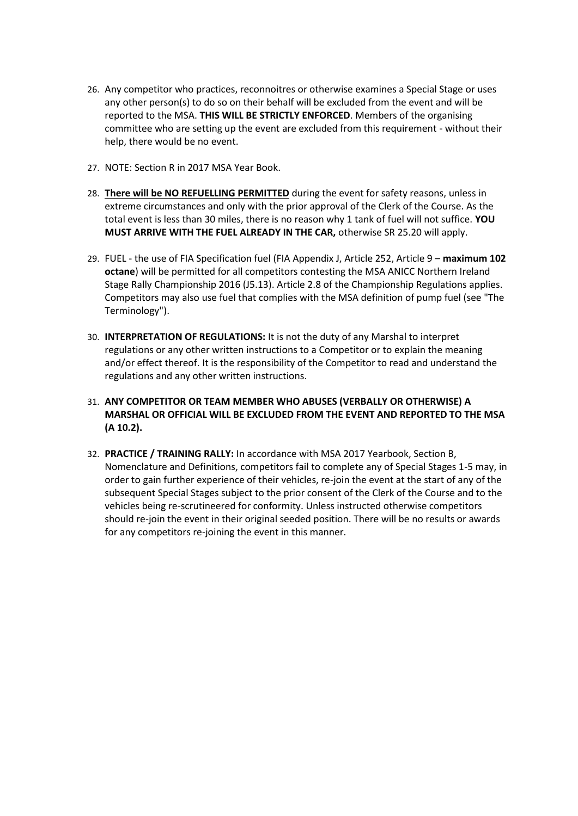- 26. Any competitor who practices, reconnoitres or otherwise examines a Special Stage or uses any other person(s) to do so on their behalf will be excluded from the event and will be reported to the MSA. **THIS WILL BE STRICTLY ENFORCED**. Members of the organising committee who are setting up the event are excluded from this requirement - without their help, there would be no event.
- 27. NOTE: Section R in 2017 MSA Year Book.
- 28. **There will be NO REFUELLING PERMITTED** during the event for safety reasons, unless in extreme circumstances and only with the prior approval of the Clerk of the Course. As the total event is less than 30 miles, there is no reason why 1 tank of fuel will not suffice. **YOU MUST ARRIVE WITH THE FUEL ALREADY IN THE CAR,** otherwise SR 25.20 will apply.
- 29. FUEL the use of FIA Specification fuel (FIA Appendix J, Article 252, Article 9 **maximum 102 octane**) will be permitted for all competitors contesting the MSA ANICC Northern Ireland Stage Rally Championship 2016 (J5.13). Article 2.8 of the Championship Regulations applies. Competitors may also use fuel that complies with the MSA definition of pump fuel (see "The Terminology").
- 30. **INTERPRETATION OF REGULATIONS:** It is not the duty of any Marshal to interpret regulations or any other written instructions to a Competitor or to explain the meaning and/or effect thereof. It is the responsibility of the Competitor to read and understand the regulations and any other written instructions.
- 31. **ANY COMPETITOR OR TEAM MEMBER WHO ABUSES (VERBALLY OR OTHERWISE) A MARSHAL OR OFFICIAL WILL BE EXCLUDED FROM THE EVENT AND REPORTED TO THE MSA (A 10.2).**
- 32. **PRACTICE / TRAINING RALLY:** In accordance with MSA 2017 Yearbook, Section B, Nomenclature and Definitions, competitors fail to complete any of Special Stages 1-5 may, in order to gain further experience of their vehicles, re-join the event at the start of any of the subsequent Special Stages subject to the prior consent of the Clerk of the Course and to the vehicles being re-scrutineered for conformity. Unless instructed otherwise competitors should re-join the event in their original seeded position. There will be no results or awards for any competitors re-joining the event in this manner.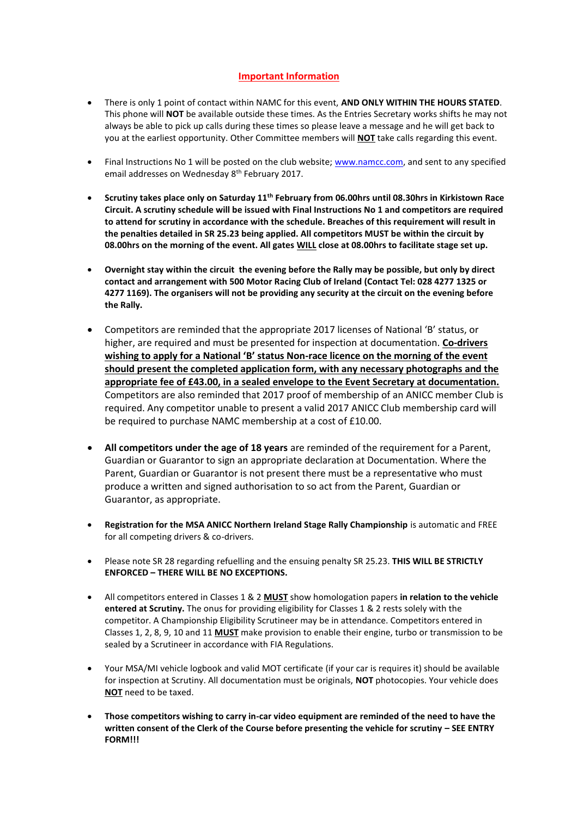# **Important Information**

- There is only 1 point of contact within NAMC for this event, **AND ONLY WITHIN THE HOURS STATED**. This phone will **NOT** be available outside these times. As the Entries Secretary works shifts he may not always be able to pick up calls during these times so please leave a message and he will get back to you at the earliest opportunity. Other Committee members will **NOT** take calls regarding this event.
- Final Instructions No 1 will be posted on the club website; [www.namcc.com,](http://www.namcc.com/) and sent to any specified email addresses on Wednesday 8<sup>th</sup> February 2017.
- **Scrutiny takes place only on Saturday 11th February from 06.00hrs until 08.30hrs in Kirkistown Race Circuit. A scrutiny schedule will be issued with Final Instructions No 1 and competitors are required to attend for scrutiny in accordance with the schedule. Breaches of this requirement will result in the penalties detailed in SR 25.23 being applied. All competitors MUST be within the circuit by 08.00hrs on the morning of the event. All gates WILL close at 08.00hrs to facilitate stage set up.**
- **Overnight stay within the circuit the evening before the Rally may be possible, but only by direct contact and arrangement with 500 Motor Racing Club of Ireland (Contact Tel: 028 4277 1325 or 4277 1169). The organisers will not be providing any security at the circuit on the evening before the Rally.**
- Competitors are reminded that the appropriate 2017 licenses of National 'B' status, or higher, are required and must be presented for inspection at documentation. **Co-drivers wishing to apply for a National 'B' status Non-race licence on the morning of the event should present the completed application form, with any necessary photographs and the appropriate fee of £43.00, in a sealed envelope to the Event Secretary at documentation.** Competitors are also reminded that 2017 proof of membership of an ANICC member Club is required. Any competitor unable to present a valid 2017 ANICC Club membership card will be required to purchase NAMC membership at a cost of £10.00.
- **All competitors under the age of 18 years** are reminded of the requirement for a Parent, Guardian or Guarantor to sign an appropriate declaration at Documentation. Where the Parent, Guardian or Guarantor is not present there must be a representative who must produce a written and signed authorisation to so act from the Parent, Guardian or Guarantor, as appropriate.
- **Registration for the MSA ANICC Northern Ireland Stage Rally Championship** is automatic and FREE for all competing drivers & co-drivers.
- Please note SR 28 regarding refuelling and the ensuing penalty SR 25.23. **THIS WILL BE STRICTLY ENFORCED – THERE WILL BE NO EXCEPTIONS.**
- All competitors entered in Classes 1 & 2 **MUST** show homologation papers **in relation to the vehicle entered at Scrutiny.** The onus for providing eligibility for Classes 1 & 2 rests solely with the competitor. A Championship Eligibility Scrutineer may be in attendance. Competitors entered in Classes 1, 2, 8, 9, 10 and 11 **MUST** make provision to enable their engine, turbo or transmission to be sealed by a Scrutineer in accordance with FIA Regulations.
- Your MSA/MI vehicle logbook and valid MOT certificate (if your car is requires it) should be available for inspection at Scrutiny. All documentation must be originals, **NOT** photocopies. Your vehicle does **NOT** need to be taxed.
- **Those competitors wishing to carry in-car video equipment are reminded of the need to have the written consent of the Clerk of the Course before presenting the vehicle for scrutiny – SEE ENTRY FORM!!!**